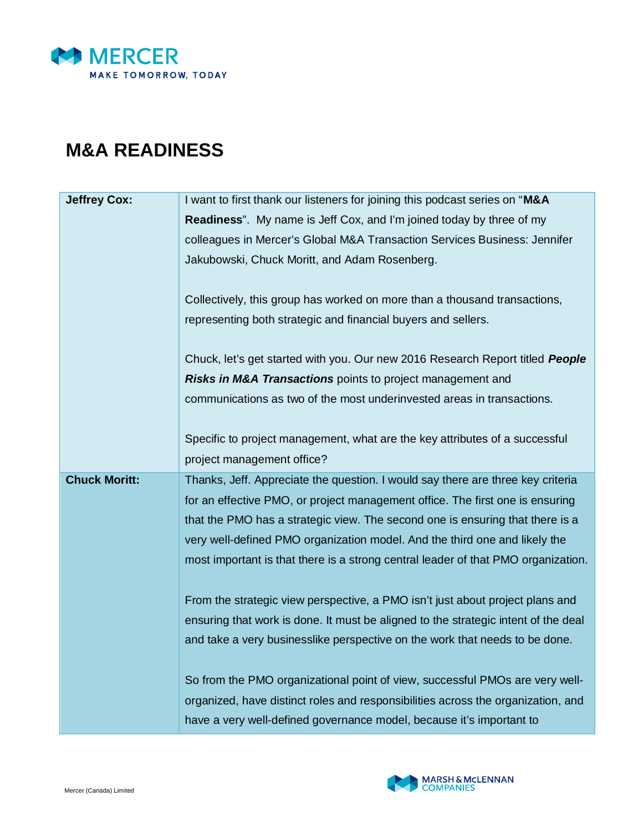

## **M&A READINESS**

| <b>Jeffrey Cox:</b>  | I want to first thank our listeners for joining this podcast series on "M&A        |
|----------------------|------------------------------------------------------------------------------------|
|                      | <b>Readiness</b> ". My name is Jeff Cox, and I'm joined today by three of my       |
|                      | colleagues in Mercer's Global M&A Transaction Services Business: Jennifer          |
|                      | Jakubowski, Chuck Moritt, and Adam Rosenberg.                                      |
|                      |                                                                                    |
|                      | Collectively, this group has worked on more than a thousand transactions,          |
|                      | representing both strategic and financial buyers and sellers.                      |
|                      |                                                                                    |
|                      | Chuck, let's get started with you. Our new 2016 Research Report titled People      |
|                      | Risks in M&A Transactions points to project management and                         |
|                      | communications as two of the most underinvested areas in transactions.             |
|                      |                                                                                    |
|                      | Specific to project management, what are the key attributes of a successful        |
|                      | project management office?                                                         |
|                      |                                                                                    |
| <b>Chuck Moritt:</b> | Thanks, Jeff. Appreciate the question. I would say there are three key criteria    |
|                      | for an effective PMO, or project management office. The first one is ensuring      |
|                      | that the PMO has a strategic view. The second one is ensuring that there is a      |
|                      | very well-defined PMO organization model. And the third one and likely the         |
|                      | most important is that there is a strong central leader of that PMO organization.  |
|                      |                                                                                    |
|                      | From the strategic view perspective, a PMO isn't just about project plans and      |
|                      | ensuring that work is done. It must be aligned to the strategic intent of the deal |
|                      | and take a very businesslike perspective on the work that needs to be done.        |
|                      |                                                                                    |
|                      | So from the PMO organizational point of view, successful PMOs are very well-       |
|                      | organized, have distinct roles and responsibilities across the organization, and   |

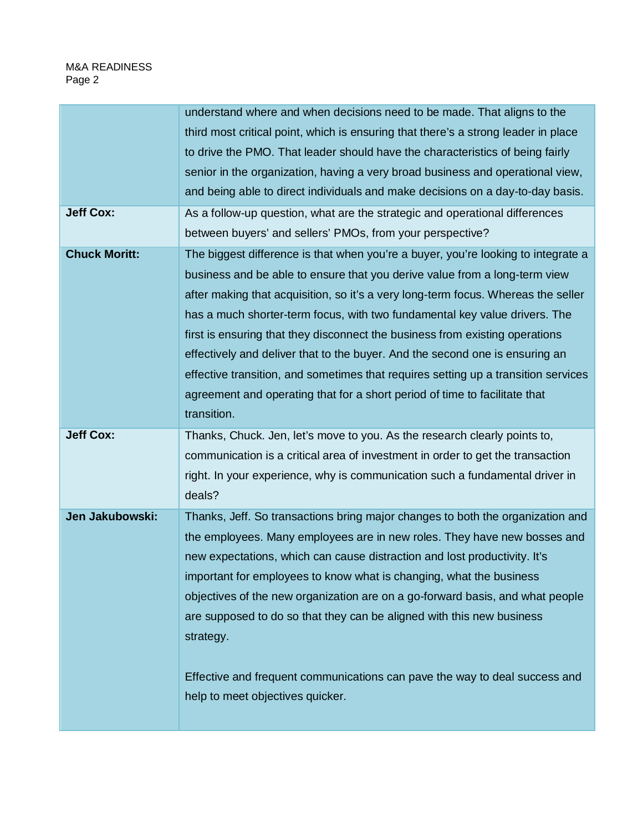| <b>Jeff Cox:</b>     | understand where and when decisions need to be made. That aligns to the<br>third most critical point, which is ensuring that there's a strong leader in place<br>to drive the PMO. That leader should have the characteristics of being fairly<br>senior in the organization, having a very broad business and operational view,<br>and being able to direct individuals and make decisions on a day-to-day basis.<br>As a follow-up question, what are the strategic and operational differences<br>between buyers' and sellers' PMOs, from your perspective?                                                                                                                        |
|----------------------|---------------------------------------------------------------------------------------------------------------------------------------------------------------------------------------------------------------------------------------------------------------------------------------------------------------------------------------------------------------------------------------------------------------------------------------------------------------------------------------------------------------------------------------------------------------------------------------------------------------------------------------------------------------------------------------|
| <b>Chuck Moritt:</b> | The biggest difference is that when you're a buyer, you're looking to integrate a<br>business and be able to ensure that you derive value from a long-term view<br>after making that acquisition, so it's a very long-term focus. Whereas the seller<br>has a much shorter-term focus, with two fundamental key value drivers. The<br>first is ensuring that they disconnect the business from existing operations<br>effectively and deliver that to the buyer. And the second one is ensuring an<br>effective transition, and sometimes that requires setting up a transition services<br>agreement and operating that for a short period of time to facilitate that<br>transition. |
| <b>Jeff Cox:</b>     | Thanks, Chuck. Jen, let's move to you. As the research clearly points to,<br>communication is a critical area of investment in order to get the transaction<br>right. In your experience, why is communication such a fundamental driver in<br>deals?                                                                                                                                                                                                                                                                                                                                                                                                                                 |
| Jen Jakubowski:      | Thanks, Jeff. So transactions bring major changes to both the organization and<br>the employees. Many employees are in new roles. They have new bosses and<br>new expectations, which can cause distraction and lost productivity. It's<br>important for employees to know what is changing, what the business<br>objectives of the new organization are on a go-forward basis, and what people<br>are supposed to do so that they can be aligned with this new business                                                                                                                                                                                                              |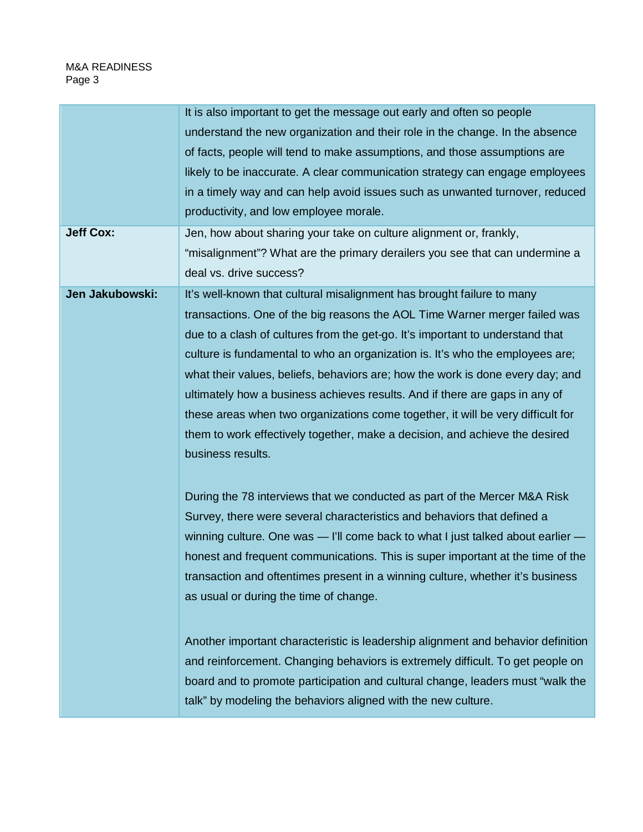|                  | It is also important to get the message out early and often so people            |
|------------------|----------------------------------------------------------------------------------|
|                  | understand the new organization and their role in the change. In the absence     |
|                  | of facts, people will tend to make assumptions, and those assumptions are        |
|                  | likely to be inaccurate. A clear communication strategy can engage employees     |
|                  | in a timely way and can help avoid issues such as unwanted turnover, reduced     |
|                  | productivity, and low employee morale.                                           |
| <b>Jeff Cox:</b> | Jen, how about sharing your take on culture alignment or, frankly,               |
|                  | "misalignment"? What are the primary derailers you see that can undermine a      |
|                  | deal vs. drive success?                                                          |
| Jen Jakubowski:  | It's well-known that cultural misalignment has brought failure to many           |
|                  | transactions. One of the big reasons the AOL Time Warner merger failed was       |
|                  | due to a clash of cultures from the get-go. It's important to understand that    |
|                  | culture is fundamental to who an organization is. It's who the employees are;    |
|                  | what their values, beliefs, behaviors are; how the work is done every day; and   |
|                  | ultimately how a business achieves results. And if there are gaps in any of      |
|                  | these areas when two organizations come together, it will be very difficult for  |
|                  | them to work effectively together, make a decision, and achieve the desired      |
|                  | business results.                                                                |
|                  |                                                                                  |
|                  | During the 78 interviews that we conducted as part of the Mercer M&A Risk        |
|                  | Survey, there were several characteristics and behaviors that defined a          |
|                  | winning culture. One was — I'll come back to what I just talked about earlier —  |
|                  | honest and frequent communications. This is super important at the time of the   |
|                  | transaction and oftentimes present in a winning culture, whether it's business   |
|                  | as usual or during the time of change.                                           |
|                  |                                                                                  |
|                  | Another important characteristic is leadership alignment and behavior definition |
|                  | and reinforcement. Changing behaviors is extremely difficult. To get people on   |
|                  | board and to promote participation and cultural change, leaders must "walk the   |
|                  | talk" by modeling the behaviors aligned with the new culture.                    |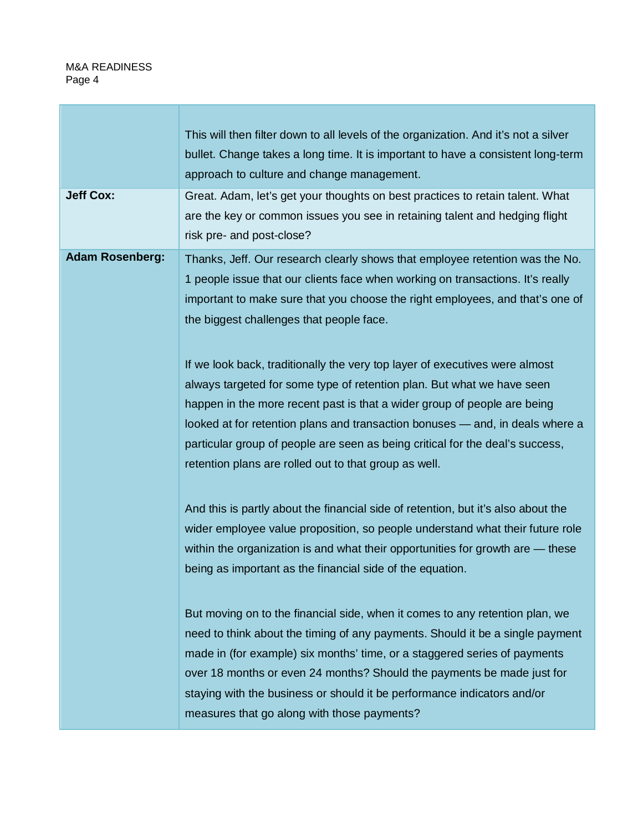|                        | This will then filter down to all levels of the organization. And it's not a silver<br>bullet. Change takes a long time. It is important to have a consistent long-term<br>approach to culture and change management.                                                                                                                                                                                                                                        |
|------------------------|--------------------------------------------------------------------------------------------------------------------------------------------------------------------------------------------------------------------------------------------------------------------------------------------------------------------------------------------------------------------------------------------------------------------------------------------------------------|
| <b>Jeff Cox:</b>       | Great. Adam, let's get your thoughts on best practices to retain talent. What<br>are the key or common issues you see in retaining talent and hedging flight<br>risk pre- and post-close?                                                                                                                                                                                                                                                                    |
| <b>Adam Rosenberg:</b> | Thanks, Jeff. Our research clearly shows that employee retention was the No.<br>1 people issue that our clients face when working on transactions. It's really<br>important to make sure that you choose the right employees, and that's one of<br>the biggest challenges that people face.                                                                                                                                                                  |
|                        | If we look back, traditionally the very top layer of executives were almost<br>always targeted for some type of retention plan. But what we have seen<br>happen in the more recent past is that a wider group of people are being<br>looked at for retention plans and transaction bonuses - and, in deals where a<br>particular group of people are seen as being critical for the deal's success,<br>retention plans are rolled out to that group as well. |
|                        | And this is partly about the financial side of retention, but it's also about the<br>wider employee value proposition, so people understand what their future role<br>within the organization is and what their opportunities for growth are - these<br>being as important as the financial side of the equation.                                                                                                                                            |
|                        | But moving on to the financial side, when it comes to any retention plan, we<br>need to think about the timing of any payments. Should it be a single payment<br>made in (for example) six months' time, or a staggered series of payments<br>over 18 months or even 24 months? Should the payments be made just for<br>staying with the business or should it be performance indicators and/or<br>measures that go along with those payments?               |